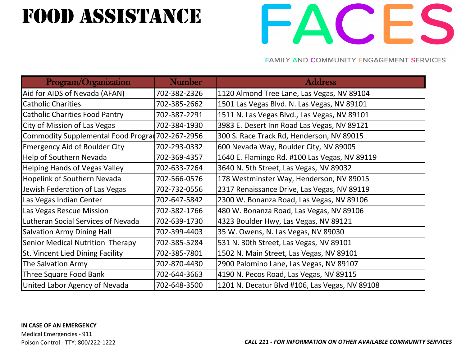## FOOD ASSISTANCE



| Program/Organization                             | <b>Number</b> | <b>Address</b>                                 |
|--------------------------------------------------|---------------|------------------------------------------------|
| Aid for AIDS of Nevada (AFAN)                    | 702-382-2326  | 1120 Almond Tree Lane, Las Vegas, NV 89104     |
| <b>Catholic Charities</b>                        | 702-385-2662  | 1501 Las Vegas Blvd. N. Las Vegas, NV 89101    |
| <b>Catholic Charities Food Pantry</b>            | 702-387-2291  | 1511 N. Las Vegas Blvd., Las Vegas, NV 89101   |
| City of Mission of Las Vegas                     | 702-384-1930  | 3983 E. Desert Inn Road Las Vegas, NV 89121    |
| Commodity Supplemental Food Prograr 702-267-2956 |               | 300 S. Race Track Rd, Henderson, NV 89015      |
| <b>Emergency Aid of Boulder City</b>             | 702-293-0332  | 600 Nevada Way, Boulder City, NV 89005         |
| <b>Help of Southern Nevada</b>                   | 702-369-4357  | 1640 E. Flamingo Rd. #100 Las Vegas, NV 89119  |
| <b>Helping Hands of Vegas Valley</b>             | 702-633-7264  | 3640 N. 5th Street, Las Vegas, NV 89032        |
| <b>Hopelink of Southern Nevada</b>               | 702-566-0576  | 178 Westminster Way, Henderson, NV 89015       |
| Jewish Federation of Las Vegas                   | 702-732-0556  | 2317 Renaissance Drive, Las Vegas, NV 89119    |
| Las Vegas Indian Center                          | 702-647-5842  | 2300 W. Bonanza Road, Las Vegas, NV 89106      |
| Las Vegas Rescue Mission                         | 702-382-1766  | 480 W. Bonanza Road, Las Vegas, NV 89106       |
| Lutheran Social Services of Nevada               | 702-639-1730  | 4323 Boulder Hwy, Las Vegas, NV 89121          |
| <b>Salvation Army Dining Hall</b>                | 702-399-4403  | 35 W. Owens, N. Las Vegas, NV 89030            |
| Senior Medical Nutrition Therapy                 | 702-385-5284  | 531 N. 30th Street, Las Vegas, NV 89101        |
| St. Vincent Lied Dining Facility                 | 702-385-7801  | 1502 N. Main Street, Las Vegas, NV 89101       |
| The Salvation Army                               | 702-870-4430  | 2900 Palomino Lane, Las Vegas, NV 89107        |
| Three Square Food Bank                           | 702-644-3663  | 4190 N. Pecos Road, Las Vegas, NV 89115        |
| United Labor Agency of Nevada                    | 702-648-3500  | 1201 N. Decatur Blvd #106, Las Vegas, NV 89108 |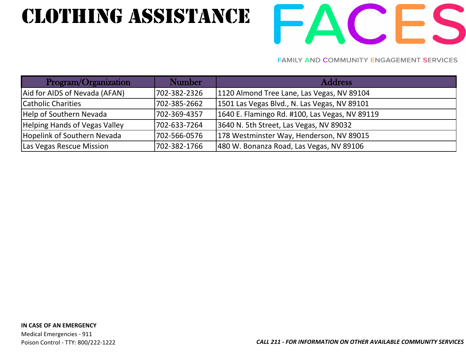## CLOTHING Assistance

# FACES

| Program/Organization                 | <b>Number</b> | <b>Address</b>                                 |
|--------------------------------------|---------------|------------------------------------------------|
| Aid for AIDS of Nevada (AFAN)        | 702-382-2326  | 1120 Almond Tree Lane, Las Vegas, NV 89104     |
| Catholic Charities                   | 702-385-2662  | 1501 Las Vegas Blvd., N. Las Vegas, NV 89101   |
| Help of Southern Nevada              | 702-369-4357  | 1640 E. Flamingo Rd. #100, Las Vegas, NV 89119 |
| <b>Helping Hands of Vegas Valley</b> | 702-633-7264  | 3640 N. 5th Street, Las Vegas, NV 89032        |
| Hopelink of Southern Nevada          | 702-566-0576  | 178 Westminster Way, Henderson, NV 89015       |
| Las Vegas Rescue Mission             | 702-382-1766  | 480 W. Bonanza Road, Las Vegas, NV 89106       |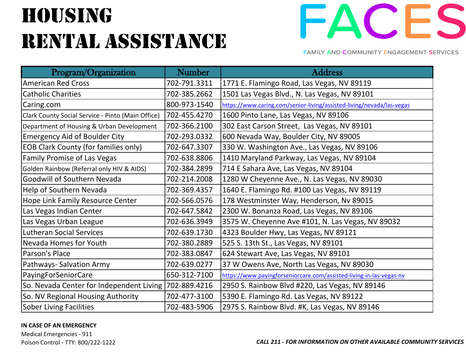# **HOUSING** rental Assistance



**FAMILY AND COMMUNITY ENGAGEMENT SERVICES** 

| Program/Organization                                  | <b>Number</b> | <b>Address</b>                                                        |
|-------------------------------------------------------|---------------|-----------------------------------------------------------------------|
| <b>American Red Cross</b>                             | 702-791.3311  | 1771 E. Flamingo Road, Las Vegas, NV 89119                            |
| <b>Catholic Charities</b>                             | 702-385.2662  | 1501 Las Vegas Blvd., N. Las Vegas, NV 89101                          |
| Caring.com                                            | 800-973-1540  | https://www.caring.com/senior-living/assisted-living/nevada/las-vegas |
| Clark County Social Service - Pinto (Main Office)     | 702-455.4270  | 1600 Pinto Lane, Las Vegas, NV 89106                                  |
| Department of Housing & Urban Development             | 702-366.2100  | 302 East Carson Street, Las Vegas, NV 89101                           |
| <b>Emergency Aid of Boulder City</b>                  | 702-293.0332  | 600 Nevada Way, Boulder City, NV 89005                                |
| <b>EOB Clark County (for families only)</b>           | 702-647.3307  | 330 W. Washington Ave., Las Vegas, NV 89106                           |
| <b>Family Promise of Las Vegas</b>                    | 702-638.8806  | 1410 Maryland Parkway, Las Vegas, NV 89104                            |
| Golden Rainbow (Referral only HIV & AIDS)             | 702-384.2899  | 714 E Sahara Ave, Las Vegas, NV 89104                                 |
| <b>Goodwill of Southern Nevada</b>                    | 702-214.2008  | 1280 W Cheyenne Ave., N. Las Vegas, NV 89030                          |
| Help of Southern Nevada                               | 702-369.4357  | 1640 E. Flamingo Rd. #100 Las Vegas, NV 89119                         |
| Hope Link Family Resource Center                      | 702-566.0576  | 178 Westminster Way, Henderson, Nv 89015                              |
| Las Vegas Indian Center                               | 702-647.5842  | 2300 W. Bonanza Road, Las Vegas, NV 89106                             |
| Las Vegas Urban League                                | 702-636.3949  | 3575 W. Cheyenne Ave #101, N. Las Vegas, NV 89032                     |
| <b>Lutheran Social Services</b>                       | 702-639.1730  | 4323 Boulder Hwy, Las Vegas, NV 89121                                 |
| Nevada Homes for Youth                                | 702-380.2889  | 525 S. 13th St., Las Vegas, NV 89101                                  |
| Parson's Place                                        | 702-383.0847  | 624 Stewart Ave, Las Vegas, NV 89101                                  |
| Pathways-Salvation Army                               | 702-639.0277  | 37 W Owens Ave, North Las Vegas, NV 89030                             |
| PayingForSeniorCare                                   | 650-312-7100  | https://www.payingforseniorcare.com/assisted-living-in-las-vegas-nv   |
| So. Nevada Center for Independent Living 702-889.4216 |               | 2950 S. Rainbow Blvd #220, Las Vegas, NV 89146                        |
| So. NV Regional Housing Authority                     | 702-477-3100  | 5390 E. Flamingo Rd. Las Vegas, NV 89122                              |
| Sober Living Facilities                               | 702-483-5906  | 2975 S. Rainbow Blvd. #K, Las Vegas, NV 89146                         |

### **IN CASE OF AN EMERGENCY**

Medical Emergencies - 911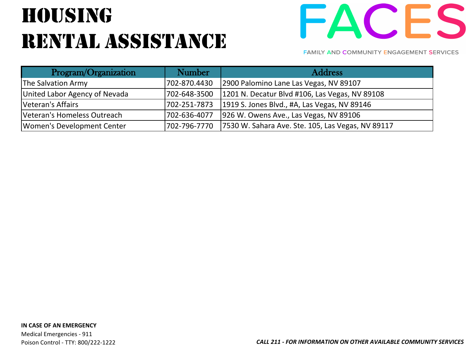# **HOUSING** RENTAL ASSISTANCE



| Program/Organization          | Number       | <b>Address</b>                                    |
|-------------------------------|--------------|---------------------------------------------------|
| The Salvation Army            | 702-870.4430 | 2900 Palomino Lane Las Vegas, NV 89107            |
| United Labor Agency of Nevada | 702-648-3500 | 1201 N. Decatur Blvd #106, Las Vegas, NV 89108    |
| Veteran's Affairs             | 702-251-7873 | 1919 S. Jones Blvd., #A, Las Vegas, NV 89146      |
| Veteran's Homeless Outreach   | 702-636-4077 | 926 W. Owens Ave., Las Vegas, NV 89106            |
| Women's Development Center    | 702-796-7770 | 7530 W. Sahara Ave. Ste. 105, Las Vegas, NV 89117 |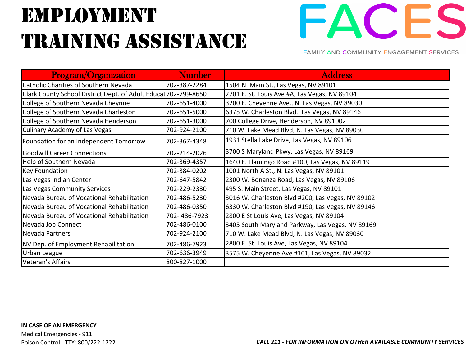## Employment training assistance



| <b>Program/Organization</b>                                     | <b>Number</b> | <b>Address</b>                                    |
|-----------------------------------------------------------------|---------------|---------------------------------------------------|
| <b>Catholic Charities of Southern Nevada</b>                    | 702-387-2284  | 1504 N. Main St., Las Vegas, NV 89101             |
| Clark County School District Dept. of Adult Educat 702-799-8650 |               | 2701 E. St. Louis Ave #A, Las Vegas, NV 89104     |
| College of Southern Nevada Cheynne                              | 702-651-4000  | 3200 E. Cheyenne Ave., N. Las Vegas, NV 89030     |
| College of Southern Nevada Charleston                           | 702-651-5000  | 6375 W. Charleston Blvd., Las Vegas, NV 89146     |
| College of Southern Nevada Henderson                            | 702-651-3000  | 700 College Drive, Henderson, NV 891002           |
| <b>Culinary Academy of Las Vegas</b>                            | 702-924-2100  | 710 W. Lake Mead Blvd, N. Las Vegas, NV 89030     |
| Foundation for an Independent Tomorrow                          | 702-367-4348  | 1931 Stella Lake Drive, Las Vegas, NV 89106       |
| <b>Goodwill Career Connections</b>                              | 702-214-2026  | 3700 S Maryland Pkwy, Las Vegas, NV 89169         |
| Help of Southern Nevada                                         | 702-369-4357  | 1640 E. Flamingo Road #100, Las Vegas, NV 89119   |
| <b>Key Foundation</b>                                           | 702-384-0202  | 1001 North A St., N. Las Vegas, NV 89101          |
| Las Vegas Indian Center                                         | 702-647-5842  | 2300 W. Bonanza Road, Las Vegas, NV 89106         |
| Las Vegas Community Services                                    | 702-229-2330  | 495 S. Main Street, Las Vegas, NV 89101           |
| Nevada Bureau of Vocational Rehabilitation                      | 702-486-5230  | 3016 W. Charleston Blvd #200, Las Vegas, NV 89102 |
| Nevada Bureau of Vocational Rehabilitation                      | 702-486-0350  | 6330 W. Charleston Blvd #190, Las Vegas, NV 89146 |
| Nevada Bureau of Vocational Rehabilitation                      | 702-486-7923  | 2800 E St Louis Ave, Las Vegas, NV 89104          |
| Nevada Job Connect                                              | 702-486-0100  | 3405 South Maryland Parkway, Las Vegas, NV 89169  |
| Nevada Partners                                                 | 702-924-2100  | 710 W. Lake Mead Blvd, N. Las Vegas, NV 89030     |
| NV Dep. of Employment Rehabilitation                            | 702-486-7923  | 2800 E. St. Louis Ave, Las Vegas, NV 89104        |
| Urban League                                                    | 702-636-3949  | 3575 W. Cheyenne Ave #101, Las Vegas, NV 89032    |
| Veteran's Affairs                                               | 800-827-1000  |                                                   |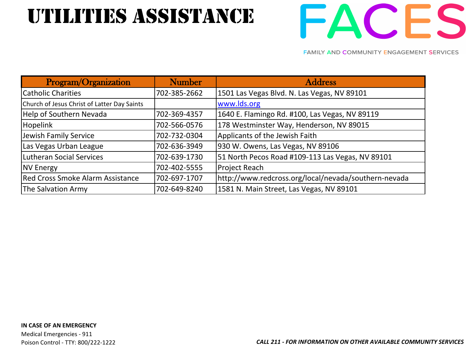## utilities Assistance



| Program/Organization                        | <b>Number</b> | <b>Address</b>                                       |
|---------------------------------------------|---------------|------------------------------------------------------|
| <b>Catholic Charities</b>                   | 702-385-2662  | 1501 Las Vegas Blvd. N. Las Vegas, NV 89101          |
| Church of Jesus Christ of Latter Day Saints |               | www.lds.org                                          |
| Help of Southern Nevada                     | 702-369-4357  | 1640 E. Flamingo Rd. #100, Las Vegas, NV 89119       |
| <b>Hopelink</b>                             | 702-566-0576  | 178 Westminster Way, Henderson, NV 89015             |
| Jewish Family Service                       | 702-732-0304  | Applicants of the Jewish Faith                       |
| Las Vegas Urban League                      | 702-636-3949  | 930 W. Owens, Las Vegas, NV 89106                    |
| Lutheran Social Services                    | 702-639-1730  | 51 North Pecos Road #109-113 Las Vegas, NV 89101     |
| <b>NV Energy</b>                            | 702-402-5555  | <b>Project Reach</b>                                 |
| <b>Red Cross Smoke Alarm Assistance</b>     | 702-697-1707  | http://www.redcross.org/local/nevada/southern-nevada |
| The Salvation Army                          | 702-649-8240  | 1581 N. Main Street, Las Vegas, NV 89101             |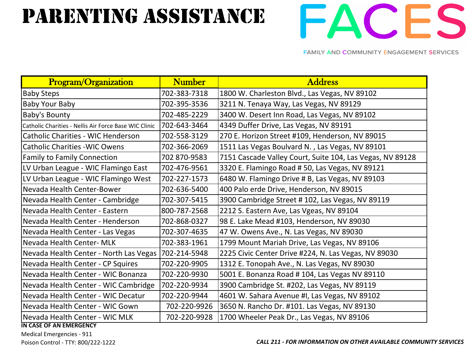## PARENTING ASSISTANCE



**FAMILY AND COMMUNITY ENGAGEMENT SERVICES** 

| <b>Program/Organization</b>                           | <b>Number</b> | <b>Address</b>                                            |
|-------------------------------------------------------|---------------|-----------------------------------------------------------|
| <b>Baby Steps</b>                                     | 702-383-7318  | 1800 W. Charleston Blvd., Las Vegas, NV 89102             |
| <b>Baby Your Baby</b>                                 | 702-395-3536  | 3211 N. Tenaya Way, Las Vegas, NV 89129                   |
| <b>Baby's Bounty</b>                                  | 702-485-2229  | 3400 W. Desert Inn Road, Las Vegas, NV 89102              |
| Catholic Charities - Nellis Air Force Base WIC Clinic | 702-643-3464  | 4349 Duffer Drive, Las Vegas, NV 89191                    |
| <b>Catholic Charities - WIC Henderson</b>             | 702-558-3129  | 270 E. Horizon Street #109, Henderson, NV 89015           |
| <b>Catholic Charities - WIC Owens</b>                 | 702-366-2069  | 1511 Las Vegas Boulvard N., Las Vegas, NV 89101           |
| <b>Family to Family Connection</b>                    | 702 870-9583  | 7151 Cascade Valley Court, Suite 104, Las Vegas, NV 89128 |
| LV Urban League - WIC Flamingo East                   | 702-476-9561  | 3320 E. Flamingo Road #50, Las Vegas, NV 89121            |
| LV Urban League - WIC Flamingo West                   | 702-227-1573  | 6480 W. Flamingo Drive # B, Las Vegas, NV 89103           |
| Nevada Health Center-Bower                            | 702-636-5400  | 400 Palo erde Drive, Henderson, NV 89015                  |
| Nevada Health Center - Cambridge                      | 702-307-5415  | 3900 Cambridge Street # 102, Las Vegas, NV 89119          |
| Nevada Health Center - Eastern                        | 800-787-2568  | 2212 S. Eastern Ave, Las Vgeas, NV 89104                  |
| Nevada Health Center - Henderson                      | 702-868-0327  | 98 E. Lake Mead #103, Henderson, NV 89030                 |
| Nevada Health Center - Las Vegas                      | 702-307-4635  | 47 W. Owens Ave., N. Las Vegas, NV 89030                  |
| Nevada Health Center- MLK                             | 702-383-1961  | 1799 Mount Mariah Drive, Las Vegas, NV 89106              |
| Nevada Health Center - North Las Vegas                | 702-214-5948  | 2225 Civic Center Drive #224, N. Las Vegas, NV 89030      |
| Nevada Health Center - CP Squires                     | 702-220-9905  | 1312 E. Tonopah Ave., N. Las Vegas, NV 89030              |
| Nevada Health Center - WIC Bonanza                    | 702-220-9930  | 5001 E. Bonanza Road # 104, Las Vegas NV 89110            |
| Nevada Health Center - WIC Cambridge                  | 702-220-9934  | 3900 Cambridge St. #202, Las Vegas, NV 89119              |
| Nevada Health Center - WIC Decatur                    | 702-220-9944  | 4601 W. Sahara Avenue #I, Las Vegas, NV 89102             |
| Nevada Health Center - WIC Gown                       | 702-220-9926  | 3650 N. Rancho Dr. #101. Las Vegas, NV 89130              |
| Nevada Health Center - WIC MLK                        | 702-220-9928  | 1700 Wheeler Peak Dr., Las Vegas, NV 89106                |

**IN CASE OF AN EMERGENCY** 

Medical Emergencies - 911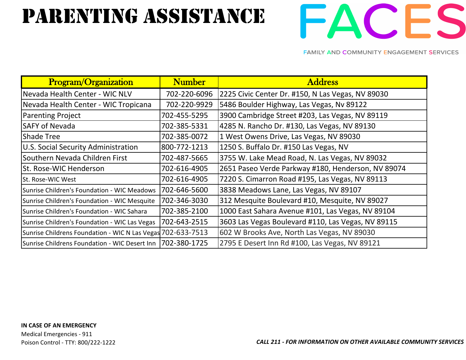## PARENTING ASSISTANCE



| <b>Program/Organization</b>                                  | <b>Number</b> | <b>Address</b>                                     |
|--------------------------------------------------------------|---------------|----------------------------------------------------|
| Nevada Health Center - WIC NLV                               | 702-220-6096  | 2225 Civic Center Dr. #150, N Las Vegas, NV 89030  |
| Nevada Health Center - WIC Tropicana                         | 702-220-9929  | 5486 Boulder Highway, Las Vegas, Nv 89122          |
| <b>Parenting Project</b>                                     | 702-455-5295  | 3900 Cambridge Street #203, Las Vegas, NV 89119    |
| <b>SAFY of Nevada</b>                                        | 702-385-5331  | 4285 N. Rancho Dr. #130, Las Vegas, NV 89130       |
| <b>Shade Tree</b>                                            | 702-385-0072  | 1 West Owens Drive, Las Vegas, NV 89030            |
| U.S. Social Security Administration                          | 800-772-1213  | 1250 S. Buffalo Dr. #150 Las Vegas, NV             |
| Southern Nevada Children First                               | 702-487-5665  | 3755 W. Lake Mead Road, N. Las Vegas, NV 89032     |
| St. Rose-WIC Henderson                                       | 702-616-4905  | 2651 Paseo Verde Parkway #180, Henderson, NV 89074 |
| St. Rose-WIC West                                            | 702-616-4905  | 7220 S. Cimarron Road #195, Las Vegas, NV 89113    |
| Sunrise Children's Foundation - WIC Meadows                  | 702-646-5600  | 3838 Meadows Lane, Las Vegas, NV 89107             |
| Sunrise Children's Foundation - WIC Mesquite                 | 702-346-3030  | 312 Mesquite Boulevard #10, Mesquite, NV 89027     |
| Sunrise Children's Foundation - WIC Sahara                   | 702-385-2100  | 1000 East Sahara Avenue #101, Las Vegas, NV 89104  |
| Sunrise Children's Foundation - WIC Las Vegas                | 702-643-2515  | 3603 Las Vegas Boulevard #110, Las Vegas, NV 89115 |
| Sunrise Childrens Foundation - WIC N Las Vegas 702-633-7513  |               | 602 W Brooks Ave, North Las Vegas, NV 89030        |
| Sunrise Childrens Foundation - WIC Desert Inn   702-380-1725 |               | 2795 E Desert Inn Rd #100, Las Vegas, NV 89121     |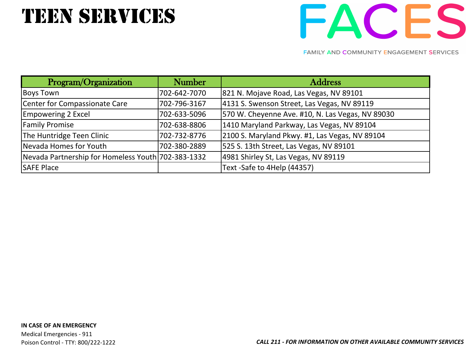## **TEEN SERVICES**



| Program/Organization                               | <b>Number</b> | <b>Address</b>                                   |
|----------------------------------------------------|---------------|--------------------------------------------------|
| Boys Town                                          | 702-642-7070  | 821 N. Mojave Road, Las Vegas, NV 89101          |
| Center for Compassionate Care                      | 702-796-3167  | 4131 S. Swenson Street, Las Vegas, NV 89119      |
| <b>Empowering 2 Excel</b>                          | 702-633-5096  | 570 W. Cheyenne Ave. #10, N. Las Vegas, NV 89030 |
| <b>Family Promise</b>                              | 702-638-8806  | 1410 Maryland Parkway, Las Vegas, NV 89104       |
| The Huntridge Teen Clinic                          | 702-732-8776  | 2100 S. Maryland Pkwy. #1, Las Vegas, NV 89104   |
| Nevada Homes for Youth                             | 702-380-2889  | 525 S. 13th Street, Las Vegas, NV 89101          |
| Nevada Partnership for Homeless Youth 702-383-1332 |               | 4981 Shirley St, Las Vegas, NV 89119             |
| <b>SAFE Place</b>                                  |               | Text -Safe to 4Help (44357)                      |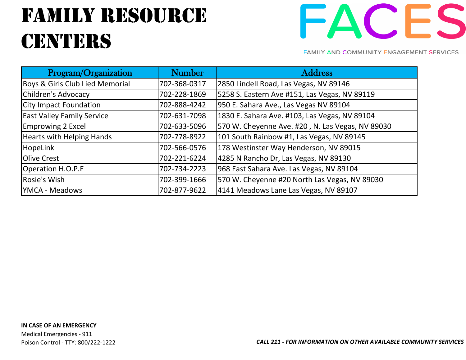## fAMILY RESOURCE **CENTERS**



| Program/Organization              | <b>Number</b> | <b>Address</b>                                   |
|-----------------------------------|---------------|--------------------------------------------------|
| Boys & Girls Club Lied Memorial   | 702-368-0317  | 2850 Lindell Road, Las Vegas, NV 89146           |
| Children's Advocacy               | 702-228-1869  | 5258 S. Eastern Ave #151, Las Vegas, NV 89119    |
| <b>City Impact Foundation</b>     | 702-888-4242  | 950 E. Sahara Ave., Las Vegas NV 89104           |
| <b>East Valley Family Service</b> | 702-631-7098  | 1830 E. Sahara Ave. #103, Las Vegas, NV 89104    |
| <b>Emprowing 2 Excel</b>          | 702-633-5096  | 570 W. Cheyenne Ave. #20, N. Las Vegas, NV 89030 |
| Hearts with Helping Hands         | 702-778-8922  | 101 South Rainbow #1, Las Vegas, NV 89145        |
| HopeLink                          | 702-566-0576  | 178 Westinster Way Henderson, NV 89015           |
| <b>Olive Crest</b>                | 702-221-6224  | 4285 N Rancho Dr, Las Vegas, NV 89130            |
| Operation H.O.P.E                 | 702-734-2223  | 968 East Sahara Ave. Las Vegas, NV 89104         |
| Rosie's Wish                      | 702-399-1666  | 570 W. Cheyenne #20 North Las Vegas, NV 89030    |
| <b>YMCA - Meadows</b>             | 702-877-9622  | 4141 Meadows Lane Las Vegas, NV 89107            |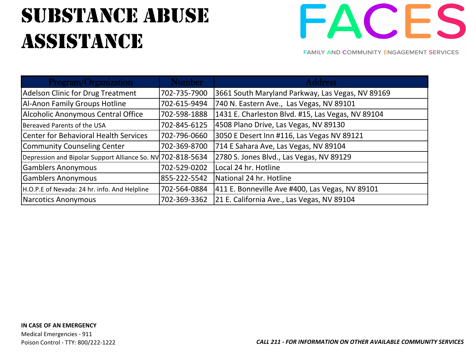## substance abuse **ASSISTANCE**



| Program/Organization                                        | <b>Number</b> | <b>Address</b>                                    |
|-------------------------------------------------------------|---------------|---------------------------------------------------|
| <b>Adelson Clinic for Drug Treatment</b>                    | 702-735-7900  | 3661 South Maryland Parkway, Las Vegas, NV 89169  |
| <b>Al-Anon Family Groups Hotline</b>                        | 702-615-9494  | 740 N. Eastern Ave., Las Vegas, NV 89101          |
| Alcoholic Anonymous Central Office                          | 702-598-1888  | 1431 E. Charleston Blvd. #15, Las Vegas, NV 89104 |
| Bereaved Parents of the USA                                 | 702-845-6125  | 4508 Plano Drive, Las Vegas, NV 89130             |
| Center for Behavioral Health Services                       | 702-796-0660  | 3050 E Desert Inn #116, Las Vegas NV 89121        |
| Community Counseling Center                                 | 702-369-8700  | 714 E Sahara Ave, Las Vegas, NV 89104             |
| Depression and Bipolar Support Alliance So. NV 702-818-5634 |               | 2780 S. Jones Blvd., Las Vegas, NV 89129          |
| <b>Gamblers Anonymous</b>                                   | 702-529-0202  | Local 24 hr. Hotline                              |
| <b>Gamblers Anonymous</b>                                   | 855-222-5542  | National 24 hr. Hotline                           |
| H.O.P.E of Nevada: 24 hr. info. And Helpline                | 702-564-0884  | 411 E. Bonneville Ave #400, Las Vegas, NV 89101   |
| Narcotics Anonymous                                         | 702-369-3362  | 21 E. California Ave., Las Vegas, NV 89104        |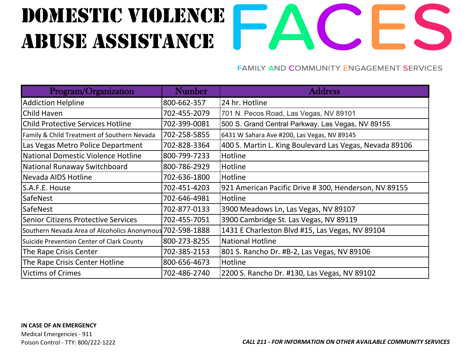## Domestic violence Abuse Assistance



| Program/Organization                                      | <b>Number</b> | <b>Address</b>                                          |
|-----------------------------------------------------------|---------------|---------------------------------------------------------|
| <b>Addiction Helpline</b>                                 | 800-662-357   | 24 hr. Hotline                                          |
| Child Haven                                               | 702-455-2079  | 701 N. Pecos Road, Las Vegas, NV 89101                  |
| <b>Child Protective Services Hotline</b>                  | 702-399-0081  | 500 S. Grand Central Parkway, Las Vegas, NV 89155       |
| Family & Child Treatment of Southern Nevada               | 702-258-5855  | 6431 W Sahara Ave #200, Las Vegas, NV 89145             |
| Las Vegas Metro Police Department                         | 702-828-3364  | 400 S. Martin L. King Boulevard Las Vegas, Nevada 89106 |
| National Domestic Violence Hotline                        | 800-799-7233  | Hotline                                                 |
| National Runaway Switchboard                              | 800-786-2929  | Hotline                                                 |
| Nevada AIDS Hotline                                       | 702-636-1800  | Hotline                                                 |
| S.A.F.E. House                                            | 702-451-4203  | 921 American Pacific Drive # 300, Henderson, NV 89155   |
| <b>SafeNest</b>                                           | 702-646-4981  | Hotline                                                 |
| <b>SafeNest</b>                                           | 702-877-0133  | 3900 Meadows Ln, Las Vegas, NV 89107                    |
| Senior Citizens Protective Services                       | 702-455-7051  | 3900 Cambridge St. Las Vegas, NV 89119                  |
| Southern Nevada Area of Alcoholics Anonymous 702-598-1888 |               | 1431 E Charleston Blvd #15, Las Vegas, NV 89104         |
| Suicide Prevention Center of Clark County                 | 800-273-8255  | <b>National Hotline</b>                                 |
| The Rape Crisis Center                                    | 702-385-2153  | 801 S. Rancho Dr. #B-2, Las Vegas, NV 89106             |
| The Rape Crisis Center Hotline                            | 800-656-4673  | Hotline                                                 |
| <b>Victims of Crimes</b>                                  | 702-486-2740  | 2200 S. Rancho Dr. #130, Las Vegas, NV 89102            |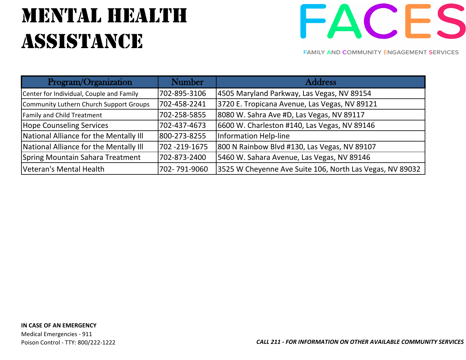## MENTAL HEALTH **ASSISTANCE**



| Program/Organization                     | <b>Number</b> | <b>Address</b>                                           |
|------------------------------------------|---------------|----------------------------------------------------------|
| Center for Individual, Couple and Family | 702-895-3106  | 4505 Maryland Parkway, Las Vegas, NV 89154               |
| Community Luthern Church Support Groups  | 702-458-2241  | 3720 E. Tropicana Avenue, Las Vegas, NV 89121            |
| Family and Child Treatment               | 702-258-5855  | 8080 W. Sahra Ave #D, Las Vegas, NV 89117                |
| <b>Hope Counseling Services</b>          | 702-437-4673  | 6600 W. Charleston #140, Las Vegas, NV 89146             |
| National Alliance for the Mentally III   | 800-273-8255  | Information Help-line                                    |
| National Alliance for the Mentally III   | 702 -219-1675 | 800 N Rainbow Blvd #130, Las Vegas, NV 89107             |
| Spring Mountain Sahara Treatment         | 702-873-2400  | 5460 W. Sahara Avenue, Las Vegas, NV 89146               |
| Veteran's Mental Health                  | 702-791-9060  | 3525 W Cheyenne Ave Suite 106, North Las Vegas, NV 89032 |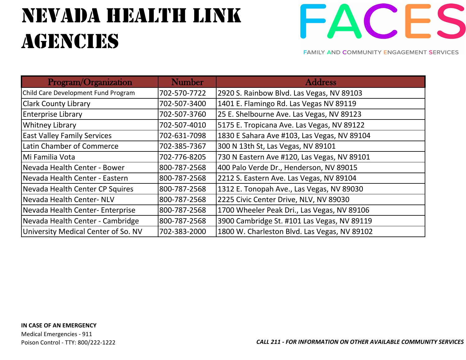## nEVADA HEALTH LINK **AGENCIES**



| Program/Organization                | <b>Number</b> | <b>Address</b>                               |
|-------------------------------------|---------------|----------------------------------------------|
| Child Care Development Fund Program | 702-570-7722  | 2920 S. Rainbow Blvd. Las Vegas, NV 89103    |
| <b>Clark County Library</b>         | 702-507-3400  | 1401 E. Flamingo Rd. Las Vegas NV 89119      |
| <b>Enterprise Library</b>           | 702-507-3760  | 25 E. Shelbourne Ave. Las Vegas, NV 89123    |
| <b>Whitney Library</b>              | 702-507-4010  | 5175 E. Tropicana Ave. Las Vegas, NV 89122   |
| <b>East Valley Family Services</b>  | 702-631-7098  | 1830 E Sahara Ave #103, Las Vegas, NV 89104  |
| Latin Chamber of Commerce           | 702-385-7367  | 300 N 13th St, Las Vegas, NV 89101           |
| Mi Familia Vota                     | 702-776-8205  | 730 N Eastern Ave #120, Las Vegas, NV 89101  |
| Nevada Health Center - Bower        | 800-787-2568  | 400 Palo Verde Dr., Henderson, NV 89015      |
| Nevada Health Center - Eastern      | 800-787-2568  | 2212 S. Eastern Ave. Las Vegas, NV 89104     |
| Nevada Health Center CP Squires     | 800-787-2568  | 1312 E. Tonopah Ave., Las Vegas, NV 89030    |
| Nevada Health Center- NLV           | 800-787-2568  | 2225 Civic Center Drive, NLV, NV 89030       |
| Nevada Health Center-Enterprise     | 800-787-2568  | 1700 Wheeler Peak Dri., Las Vegas, NV 89106  |
| Nevada Health Center - Cambridge    | 800-787-2568  | 3900 Cambridge St. #101 Las Vegas, NV 89119  |
| University Medical Center of So. NV | 702-383-2000  | 1800 W. Charleston Blvd. Las Vegas, NV 89102 |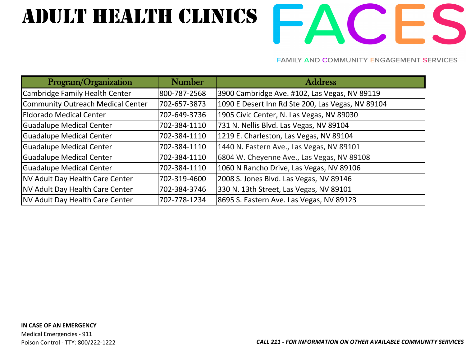# ADULT HEALTH CLINICS FACES

| Program/Organization                   | <b>Number</b> | <b>Address</b>                                    |
|----------------------------------------|---------------|---------------------------------------------------|
| Cambridge Family Health Center         | 800-787-2568  | 3900 Cambridge Ave. #102, Las Vegas, NV 89119     |
| Community Outreach Medical Center      | 702-657-3873  | 1090 E Desert Inn Rd Ste 200, Las Vegas, NV 89104 |
| Eldorado Medical Center                | 702-649-3736  | 1905 Civic Center, N. Las Vegas, NV 89030         |
| <b>Guadalupe Medical Center</b>        | 702-384-1110  | 731 N. Nellis Blvd. Las Vegas, NV 89104           |
| <b>Guadalupe Medical Center</b>        | 702-384-1110  | 1219 E. Charleston, Las Vegas, NV 89104           |
| <b>Guadalupe Medical Center</b>        | 702-384-1110  | 1440 N. Eastern Ave., Las Vegas, NV 89101         |
| <b>Guadalupe Medical Center</b>        | 702-384-1110  | 6804 W. Cheyenne Ave., Las Vegas, NV 89108        |
| <b>Guadalupe Medical Center</b>        | 702-384-1110  | 1060 N Rancho Drive, Las Vegas, NV 89106          |
| NV Adult Day Health Care Center        | 702-319-4600  | 2008 S. Jones Blvd. Las Vegas, NV 89146           |
| NV Adult Day Health Care Center        | 702-384-3746  | 330 N. 13th Street, Las Vegas, NV 89101           |
| <b>NV Adult Day Health Care Center</b> | 702-778-1234  | 8695 S. Eastern Ave. Las Vegas, NV 89123          |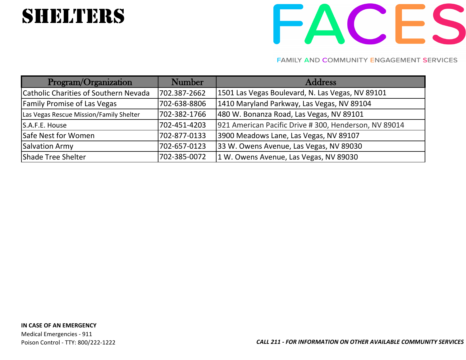## **SHELTERS**

# FACES

| Program/Organization                    | <b>Number</b> | <b>Address</b>                                        |
|-----------------------------------------|---------------|-------------------------------------------------------|
| Catholic Charities of Southern Nevada   | 702.387-2662  | 1501 Las Vegas Boulevard, N. Las Vegas, NV 89101      |
| <b>Family Promise of Las Vegas</b>      | 702-638-8806  | 1410 Maryland Parkway, Las Vegas, NV 89104            |
| Las Vegas Rescue Mission/Family Shelter | 702-382-1766  | 480 W. Bonanza Road, Las Vegas, NV 89101              |
| S.A.F.E. House                          | 702-451-4203  | 921 American Pacific Drive # 300, Henderson, NV 89014 |
| Safe Nest for Women                     | 702-877-0133  | 3900 Meadows Lane, Las Vegas, NV 89107                |
| Salvation Army                          | 702-657-0123  | 33 W. Owens Avenue, Las Vegas, NV 89030               |
| Shade Tree Shelter                      | 702-385-0072  | 1 W. Owens Avenue, Las Vegas, NV 89030                |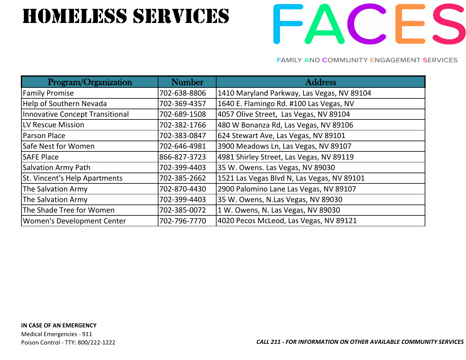## HOMELESS SERVICES

# FACES

| Program/Organization              | <b>Number</b> | <b>Address</b>                             |
|-----------------------------------|---------------|--------------------------------------------|
| <b>Family Promise</b>             | 702-638-8806  | 1410 Maryland Parkway, Las Vegas, NV 89104 |
| <b>Help of Southern Nevada</b>    | 702-369-4357  | 1640 E. Flamingo Rd. #100 Las Vegas, NV    |
| Innovative Concept Transitional   | 702-689-1508  | 4057 Olive Street, Las Vegas, NV 89104     |
| LV Rescue Mission                 | 702-382-1766  | 480 W Bonanza Rd, Las Vegas, NV 89106      |
| Parson Place                      | 702-383-0847  | 624 Stewart Ave, Las Vegas, NV 89101       |
| Safe Nest for Women               | 702-646-4981  | 3900 Meadows Ln, Las Vegas, NV 89107       |
| <b>SAFE Place</b>                 | 866-827-3723  | 4981 Shirley Street, Las Vegas, NV 89119   |
| <b>Salvation Army Path</b>        | 702-399-4403  | 35 W. Owens. Las Vegas, NV 89030           |
| St. Vincent's Help Apartments     | 702-385-2662  | 1521 Las Vegas Blvd N, Las Vegas, NV 89101 |
| The Salvation Army                | 702-870-4430  | 2900 Palomino Lane Las Vegas, NV 89107     |
| The Salvation Army                | 702-399-4403  | 35 W. Owens, N.Las Vegas, NV 89030         |
| The Shade Tree for Women          | 702-385-0072  | 1 W. Owens, N. Las Vegas, NV 89030         |
| <b>Women's Development Center</b> | 702-796-7770  | 4020 Pecos McLeod, Las Vegas, NV 89121     |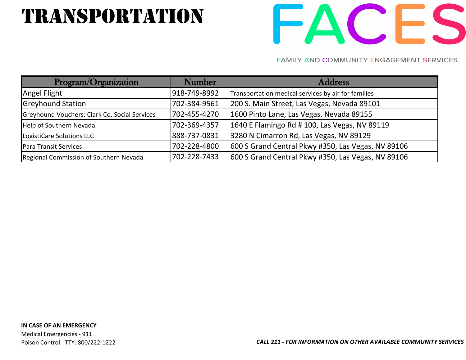## TRANSPORTATION



| Program/Organization                          | <b>Number</b> | <b>Address</b>                                      |
|-----------------------------------------------|---------------|-----------------------------------------------------|
| Angel Flight                                  | 918-749-8992  | Transportation medical services by air for families |
| <b>Greyhound Station</b>                      | 702-384-9561  | 200 S. Main Street, Las Vegas, Nevada 89101         |
| Greyhound Vouchers: Clark Co. Social Services | 702-455-4270  | 1600 Pinto Lane, Las Vegas, Nevada 89155            |
| Help of Southern Nevada                       | 702-369-4357  | 1640 E Flamingo Rd # 100, Las Vegas, NV 89119       |
| LogistiCare Solutions LLC                     | 888-737-0831  | 3280 N Cimarron Rd, Las Vegas, NV 89129             |
| Para Transit Services                         | 702-228-4800  | 600 S Grand Central Pkwy #350, Las Vegas, NV 89106  |
| Regional Commission of Southern Nevada        | 702-228-7433  | 600 S Grand Central Pkwy #350, Las Vegas, NV 89106  |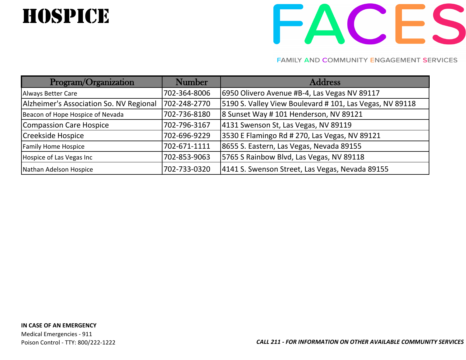## **HOSPICE**

# FACES

| Program/Organization                    | <b>Number</b> | <b>Address</b>                                           |
|-----------------------------------------|---------------|----------------------------------------------------------|
| Always Better Care                      | 702-364-8006  | 6950 Olivero Avenue #B-4, Las Vegas NV 89117             |
| Alzheimer's Association So. NV Regional | 702-248-2770  | 5190 S. Valley View Boulevard # 101, Las Vegas, NV 89118 |
| Beacon of Hope Hospice of Nevada        | 702-736-8180  | 8 Sunset Way # 101 Henderson, NV 89121                   |
| Compassion Care Hospice                 | 702-796-3167  | 4131 Swenson St, Las Vegas, NV 89119                     |
| Creekside Hospice                       | 702-696-9229  | 3530 E Flamingo Rd # 270, Las Vegas, NV 89121            |
| <b>Family Home Hospice</b>              | 702-671-1111  | 8655 S. Eastern, Las Vegas, Nevada 89155                 |
| Hospice of Las Vegas Inc                | 702-853-9063  | 5765 S Rainbow Blvd, Las Vegas, NV 89118                 |
| Nathan Adelson Hospice                  | 702-733-0320  | 4141 S. Swenson Street, Las Vegas, Nevada 89155          |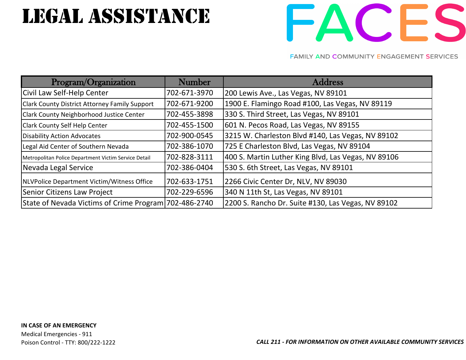## legal assistance



| Program/Organization                                  | <b>Number</b> | <b>Address</b>                                      |
|-------------------------------------------------------|---------------|-----------------------------------------------------|
| Civil Law Self-Help Center                            | 702-671-3970  | 200 Lewis Ave., Las Vegas, NV 89101                 |
| Clark County District Attorney Family Support         | 702-671-9200  | 1900 E. Flamingo Road #100, Las Vegas, NV 89119     |
| Clark County Neighborhood Justice Center              | 702-455-3898  | 330 S. Third Street, Las Vegas, NV 89101            |
| <b>Clark County Self Help Center</b>                  | 702-455-1500  | 601 N. Pecos Road, Las Vegas, NV 89155              |
| Disability Action Advocates                           | 702-900-0545  | 3215 W. Charleston Blvd #140, Las Vegas, NV 89102   |
| Legal Aid Center of Southern Nevada                   | 702-386-1070  | 725 E Charleston Blvd, Las Vegas, NV 89104          |
| Metropolitan Police Department Victim Service Detail  | 702-828-3111  | 400 S. Martin Luther King Blvd, Las Vegas, NV 89106 |
| Nevada Legal Service                                  | 702-386-0404  | 530 S. 6th Street, Las Vegas, NV 89101              |
| NLVPolice Department Victim/Witness Office            | 702-633-1751  | 2266 Civic Center Dr, NLV, NV 89030                 |
| Senior Citizens Law Project                           | 702-229-6596  | 340 N 11th St, Las Vegas, NV 89101                  |
| State of Nevada Victims of Crime Program 702-486-2740 |               | 2200 S. Rancho Dr. Suite #130, Las Vegas, NV 89102  |